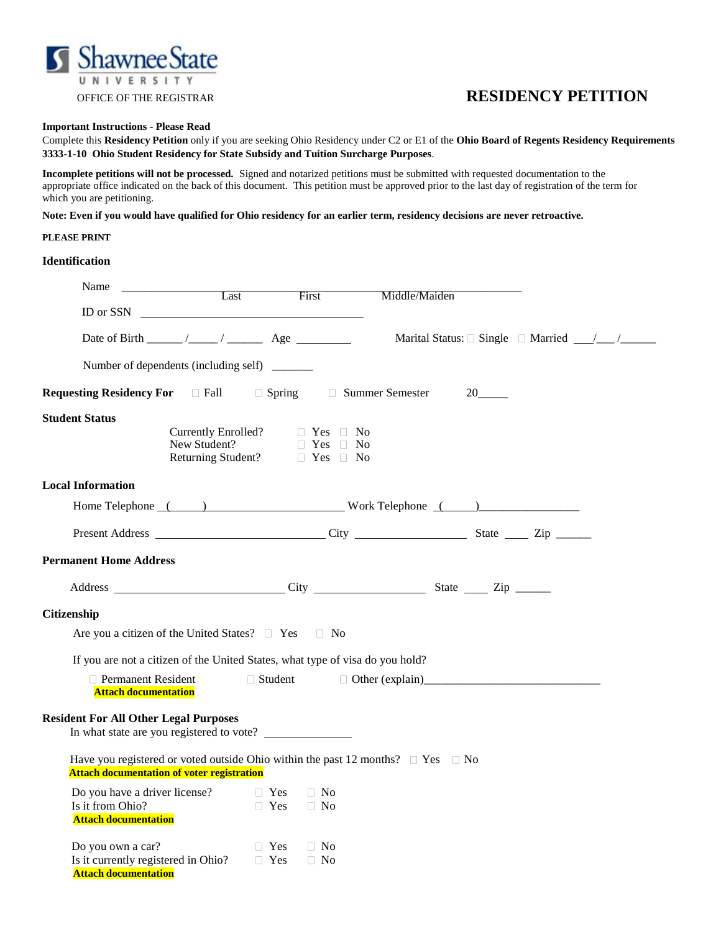

# OFFICE OF THE REGISTRAR **RESIDENCY PETITION**

## **Important Instructions - Please Read**

Complete this **Residency Petition** only if you are seeking Ohio Residency under C2 or E1 of the **Ohio Board of Regents Residency Requirements 3333-1-10 Ohio Student Residency for State Subsidy and Tuition Surcharge Purposes**.

**Incomplete petitions will not be processed.** Signed and notarized petitions must be submitted with requested documentation to the appropriate office indicated on the back of this document. This petition must be approved prior to the last day of registration of the term for which you are petitioning.

**Note: Even if you would have qualified for Ohio residency for an earlier term, residency decisions are never retroactive.**

## **PLEASE PRINT**

# **Identification**

| Name<br>Last                                                                                                                                   | <b>First</b>                                                                                               | Middle/Maiden                                 |  |
|------------------------------------------------------------------------------------------------------------------------------------------------|------------------------------------------------------------------------------------------------------------|-----------------------------------------------|--|
| ID or SSN $\qquad$                                                                                                                             |                                                                                                            |                                               |  |
|                                                                                                                                                |                                                                                                            |                                               |  |
| Number of dependents (including self) ________                                                                                                 |                                                                                                            |                                               |  |
| <b>Requesting Residency For</b> Fall                                                                                                           | □ Spring □ Summer Semester                                                                                 | $20$ <sub>_____</sub>                         |  |
| <b>Student Status</b>                                                                                                                          | Currently Enrolled? $\Box$ Yes $\Box$ No<br>New Student?<br>■ Yes ■ No<br>Returning Student?<br>■ Yes ■ No |                                               |  |
| <b>Local Information</b>                                                                                                                       |                                                                                                            |                                               |  |
| Home Telephone () Work Telephone ()                                                                                                            |                                                                                                            |                                               |  |
|                                                                                                                                                |                                                                                                            |                                               |  |
| <b>Permanent Home Address</b>                                                                                                                  |                                                                                                            |                                               |  |
| Address City City State Zip Zip                                                                                                                |                                                                                                            |                                               |  |
| Citizenship                                                                                                                                    |                                                                                                            |                                               |  |
| Are you a citizen of the United States? □ Yes □ No                                                                                             |                                                                                                            |                                               |  |
| If you are not a citizen of the United States, what type of visa do you hold?                                                                  |                                                                                                            |                                               |  |
| Permanent Resident<br><b>Attach documentation</b>                                                                                              | □ Student                                                                                                  | □ Other (explain)<br><u>□ Other (explain)</u> |  |
| <b>Resident For All Other Legal Purposes</b>                                                                                                   |                                                                                                            |                                               |  |
| Have you registered or voted outside Ohio within the past 12 months? $\Box$ Yes $\Box$ No<br><b>Attach documentation of voter registration</b> |                                                                                                            |                                               |  |
| Do you have a driver license?<br>Is it from Ohio?<br><b>Attach documentation</b>                                                               | $\Box$ No<br>$\Box$ Yes<br>$\Box$ Yes<br>$\Box$ No                                                         |                                               |  |
| Do you own a car?<br>Is it currently registered in Ohio? $\Box$ Yes<br><b>Attach documentation</b>                                             | $\Box$ Yes<br>$\Box$ No<br>$\Box$ No                                                                       |                                               |  |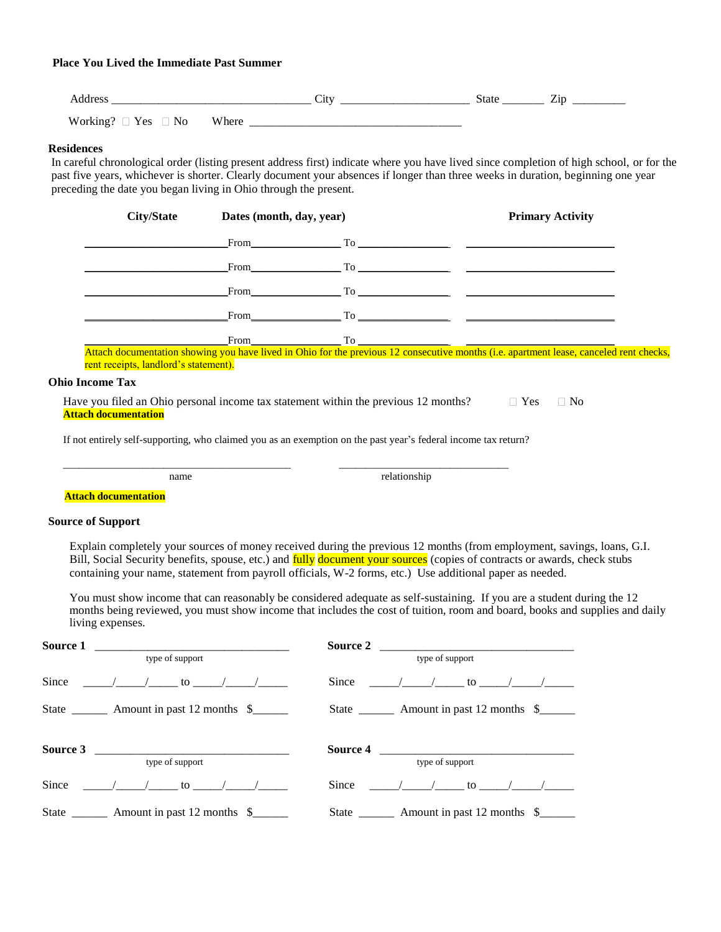# **Place You Lived the Immediate Past Summer**

|                                                              | ັ<br>- - | $\overline{\phantom{a}}$<br>Jiai v<br>$\cdots$<br>_________ |
|--------------------------------------------------------------|----------|-------------------------------------------------------------|
| $\sim$<br>Yes<br>N <sub>0</sub><br>w<br>$\sim$ 01 KHILE<br>ີ | пек      |                                                             |

#### **Residences**

 In careful chronological order (listing present address first) indicate where you have lived since completion of high school, or for the past five years, whichever is shorter. Clearly document your absences if longer than three weeks in duration, beginning one year preceding the date you began living in Ohio through the present.

|                                                                                                                | <b>City/State</b>                                                                                                                       | Dates (month, day, year)                                                                                                                                                                                                       |                                                                                                                                                                                                                              |  | <b>Primary Activity</b> |           |  |
|----------------------------------------------------------------------------------------------------------------|-----------------------------------------------------------------------------------------------------------------------------------------|--------------------------------------------------------------------------------------------------------------------------------------------------------------------------------------------------------------------------------|------------------------------------------------------------------------------------------------------------------------------------------------------------------------------------------------------------------------------|--|-------------------------|-----------|--|
|                                                                                                                |                                                                                                                                         | From To                                                                                                                                                                                                                        |                                                                                                                                                                                                                              |  |                         |           |  |
|                                                                                                                |                                                                                                                                         | From the state of the state of the state of the state of the state of the state of the state of the state of the state of the state of the state of the state of the state of the state of the state of the state of the state |                                                                                                                                                                                                                              |  |                         |           |  |
|                                                                                                                |                                                                                                                                         |                                                                                                                                                                                                                                | From $T_0$ $T_0$ $T_1$ $T_2$ $T_3$ $T_4$ $T_5$ $T_6$ $T_7$ $T_8$ $T_9$ $T_9$ $T_9$ $T_9$ $T_9$ $T_9$ $T_9$ $T_9$ $T_9$ $T_9$ $T_9$ $T_9$ $T_9$ $T_9$ $T_9$ $T_9$ $T_9$ $T_9$ $T_9$ $T_9$ $T_9$ $T_9$ $T_9$ $T_9$ $T_9$ $T_9$ |  |                         |           |  |
|                                                                                                                |                                                                                                                                         |                                                                                                                                                                                                                                |                                                                                                                                                                                                                              |  |                         |           |  |
|                                                                                                                | Attach documentation showing you have lived in Ohio for the previous 12 consecutive months (i.e. apartment lease, canceled rent checks, | From the state of the state of the state of the state of the state of the state of the state of the state of the state of the state of the state of the state of the state of the state of the state of the state of the state |                                                                                                                                                                                                                              |  |                         |           |  |
|                                                                                                                | rent receipts, landlord's statement).                                                                                                   |                                                                                                                                                                                                                                |                                                                                                                                                                                                                              |  |                         |           |  |
| <b>Ohio Income Tax</b>                                                                                         |                                                                                                                                         |                                                                                                                                                                                                                                |                                                                                                                                                                                                                              |  |                         |           |  |
|                                                                                                                | Have you filed an Ohio personal income tax statement within the previous 12 months?<br><b>Attach documentation</b>                      |                                                                                                                                                                                                                                |                                                                                                                                                                                                                              |  | $\Box$ Yes              | $\Box$ No |  |
| If not entirely self-supporting, who claimed you as an exemption on the past year's federal income tax return? |                                                                                                                                         |                                                                                                                                                                                                                                |                                                                                                                                                                                                                              |  |                         |           |  |

name relationship

 **Attach documentation**

## **Source of Support**

Explain completely your sources of money received during the previous 12 months (from employment, savings, loans, G.I. Bill, Social Security benefits, spouse, etc.) and fully document your sources (copies of contracts or awards, check stubs containing your name, statement from payroll officials, W-2 forms, etc.) Use additional paper as needed.

\_\_\_\_\_\_\_\_\_\_\_\_\_\_\_\_\_\_\_\_\_\_\_\_\_\_\_\_\_\_\_\_\_\_\_\_\_\_\_\_\_\_\_ \_\_\_\_\_\_\_\_\_\_\_\_\_\_\_\_\_\_\_\_\_\_\_\_\_\_\_\_\_\_\_\_

You must show income that can reasonably be considered adequate as self-sustaining. If you are a student during the 12 months being reviewed, you must show income that includes the cost of tuition, room and board, books and supplies and daily living expenses.

| Source 1 |                                                       | Source $2\ \_$  |                                              |  |  |
|----------|-------------------------------------------------------|-----------------|----------------------------------------------|--|--|
|          | type of support                                       | type of support |                                              |  |  |
|          | Since $/$ $/$ to $/$ $/$                              |                 | Since $/$ $/$ to $/$ $/$                     |  |  |
|          | State ___________ Amount in past 12 months \$________ |                 | State __________ Amount in past 12 months \$ |  |  |
|          | Source 3                                              |                 |                                              |  |  |
|          | type of support                                       |                 | type of support                              |  |  |
| Since    | $\sqrt{2}$ to $\sqrt{2}$                              |                 | Since $/$ $/$ to $/$                         |  |  |
|          | State ___________ Amount in past 12 months \$         |                 | State __________ Amount in past 12 months \$ |  |  |